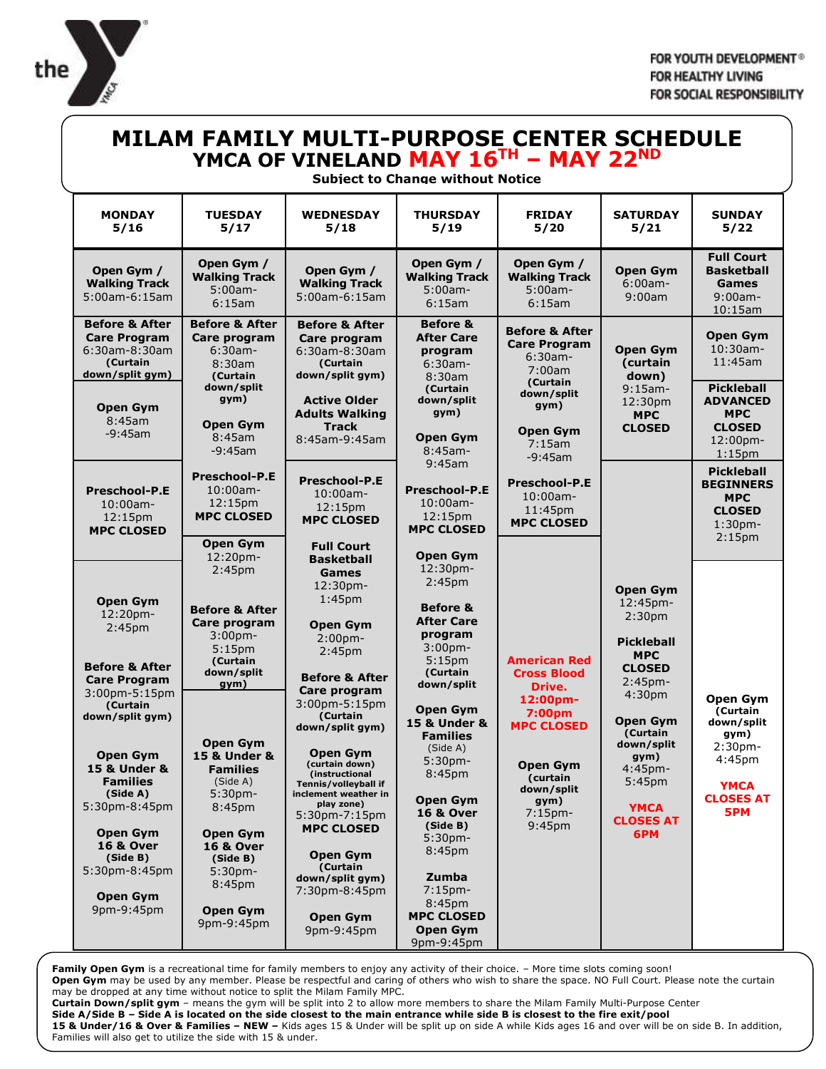

## **MILAM FAMILY MULTI-PURPOSE CENTER SCHEDULE YMCA OF VINELAND MAY 16TH – MAY 22ND**

## **Subject to Change without Notice**

| <b>MONDAY</b><br>5/16                                                                                                                                                                                                                                                                                                                                        | <b>TUESDAY</b><br>5/17                                                                                                                                                                                                                                                                                                                                                                                     | <b>WEDNESDAY</b><br>5/18                                                                                                                                                                                                                                                                                                                                                                                                                                                                              | <b>THURSDAY</b><br>5/19                                                                                                                                                                                                                                                                                                                                                                                                                     | <b>FRIDAY</b><br>5/20                                                                                                                                                                   | <b>SATURDAY</b><br>5/21                                                                                                                                                                                                                                                   | <b>SUNDAY</b><br>5/22                                                                                                       |
|--------------------------------------------------------------------------------------------------------------------------------------------------------------------------------------------------------------------------------------------------------------------------------------------------------------------------------------------------------------|------------------------------------------------------------------------------------------------------------------------------------------------------------------------------------------------------------------------------------------------------------------------------------------------------------------------------------------------------------------------------------------------------------|-------------------------------------------------------------------------------------------------------------------------------------------------------------------------------------------------------------------------------------------------------------------------------------------------------------------------------------------------------------------------------------------------------------------------------------------------------------------------------------------------------|---------------------------------------------------------------------------------------------------------------------------------------------------------------------------------------------------------------------------------------------------------------------------------------------------------------------------------------------------------------------------------------------------------------------------------------------|-----------------------------------------------------------------------------------------------------------------------------------------------------------------------------------------|---------------------------------------------------------------------------------------------------------------------------------------------------------------------------------------------------------------------------------------------------------------------------|-----------------------------------------------------------------------------------------------------------------------------|
| Open Gym /<br><b>Walking Track</b><br>5:00am-6:15am                                                                                                                                                                                                                                                                                                          | Open Gym /<br><b>Walking Track</b><br>5:00am-<br>6:15am                                                                                                                                                                                                                                                                                                                                                    | Open Gym /<br><b>Walking Track</b><br>5:00am-6:15am                                                                                                                                                                                                                                                                                                                                                                                                                                                   | Open Gym /<br><b>Walking Track</b><br>$5:00am -$<br>6:15am                                                                                                                                                                                                                                                                                                                                                                                  | Open Gym /<br><b>Walking Track</b><br>5:00am-<br>6:15am                                                                                                                                 | <b>Open Gym</b><br>$6:00am -$<br>9:00am                                                                                                                                                                                                                                   | <b>Full Court</b><br><b>Basketball</b><br>Games<br>$9:00$ am-<br>10:15am                                                    |
| <b>Before &amp; After</b><br><b>Care Program</b><br>6:30am-8:30am<br>(Curtain<br>down/split gym)                                                                                                                                                                                                                                                             | <b>Before &amp; After</b><br>Care program<br>$6:30$ am-<br>8:30am<br>(Curtain<br>down/split<br>gym)                                                                                                                                                                                                                                                                                                        | <b>Before &amp; After</b><br>Care program<br>6:30am-8:30am<br>(Curtain<br>down/split gym)<br><b>Active Older</b>                                                                                                                                                                                                                                                                                                                                                                                      | <b>Before &amp;</b><br><b>After Care</b><br>program<br>$6:30am -$<br>8:30am<br>(Curtain                                                                                                                                                                                                                                                                                                                                                     | <b>Before &amp; After</b><br><b>Care Program</b><br>$6:30$ am-<br>7:00am<br>(Curtain<br>down/split                                                                                      | <b>Open Gym</b><br><b>(curtain</b><br>down)<br>$9:15$ am-                                                                                                                                                                                                                 | <b>Open Gym</b><br>10:30am-<br>11:45am<br><b>Pickleball</b>                                                                 |
| <b>Open Gym</b><br>8:45am<br>$-9:45$ am                                                                                                                                                                                                                                                                                                                      | <b>Open Gym</b><br>8:45am<br>$-9:45$ am                                                                                                                                                                                                                                                                                                                                                                    | <b>Adults Walking</b><br><b>Track</b><br>8:45am-9:45am                                                                                                                                                                                                                                                                                                                                                                                                                                                | down/split<br>gym)<br><b>Open Gym</b><br>$8:45$ am-<br>9:45am                                                                                                                                                                                                                                                                                                                                                                               | gym)<br><b>Open Gym</b><br>7:15am<br>$-9:45$ am                                                                                                                                         | 12:30 <sub>pm</sub><br><b>MPC</b><br><b>CLOSED</b>                                                                                                                                                                                                                        | <b>ADVANCED</b><br><b>MPC</b><br><b>CLOSED</b><br>12:00pm-<br>$1:15$ pm                                                     |
| <b>Preschool-P.E</b><br>$10:00$ am-<br>12:15 <sub>pm</sub><br><b>MPC CLOSED</b>                                                                                                                                                                                                                                                                              | <b>Preschool-P.E</b><br>$10:00$ am-<br>12:15pm<br><b>MPC CLOSED</b>                                                                                                                                                                                                                                                                                                                                        | <b>Preschool-P.E</b><br>$10:00$ am-<br>12:15pm<br><b>MPC CLOSED</b>                                                                                                                                                                                                                                                                                                                                                                                                                                   | <b>Preschool-P.E</b><br>$10:00$ am-<br>12:15pm<br><b>MPC CLOSED</b>                                                                                                                                                                                                                                                                                                                                                                         | <b>Preschool-P.E</b><br>10:00am-<br>11:45pm<br><b>MPC CLOSED</b>                                                                                                                        |                                                                                                                                                                                                                                                                           | <b>Pickleball</b><br><b>BEGINNERS</b><br><b>MPC</b><br><b>CLOSED</b><br>$1:30$ pm-<br>2:15 <sub>pm</sub>                    |
| <b>Open Gym</b><br>12:20pm-<br>2:45 <sub>pm</sub><br><b>Before &amp; After</b><br><b>Care Program</b><br>$3:00$ pm-5:15pm<br>(Curtain<br>down/split gym)<br><b>Open Gym</b><br><b>15 &amp; Under &amp;</b><br><b>Families</b><br>(Side A)<br>5:30pm-8:45pm<br>Open Gym<br><b>16 &amp; Over</b><br>(Side B)<br>5:30pm-8:45pm<br><b>Open Gym</b><br>9pm-9:45pm | <b>Open Gym</b><br>12:20pm-<br>2:45 <sub>pm</sub><br><b>Before &amp; After</b><br>Care program<br>3:00 <sub>pm</sub><br>5:15 <sub>pm</sub><br>(Curtain<br>down/split<br>gym)<br><b>Open Gym</b><br><b>15 &amp; Under &amp;</b><br><b>Families</b><br>(Side A)<br>5:30pm-<br>8:45pm<br><b>Open Gym</b><br><b>16 &amp; Over</b><br>(Side B)<br>5:30 <sub>pm</sub><br>8:45pm<br><b>Open Gym</b><br>9pm-9:45pm | <b>Full Court</b><br><b>Basketball</b><br>Games<br>12:30pm-<br>1:45 <sub>pm</sub><br><b>Open Gym</b><br>2:00 <sub>pm</sub><br>2:45 <sub>pm</sub><br><b>Before &amp; After</b><br>Care program<br>3:00pm-5:15pm<br>(Curtain<br>down/split gym)<br>Open Gym<br>(curtain down)<br>(instructional<br>Tennis/volleyball if<br>inclement weather in<br>play zone)<br>5:30pm-7:15pm<br><b>MPC CLOSED</b><br><b>Open Gym</b><br>(Curtain<br>down/split gym)<br>7:30pm-8:45pm<br><b>Open Gym</b><br>9pm-9:45pm | <b>Open Gym</b><br>12:30pm-<br>2:45 <sub>pm</sub><br><b>Before &amp;</b><br><b>After Care</b><br>program<br>$3:00$ pm-<br>5:15 <sub>pm</sub><br>(Curtain<br>down/split<br><b>Open Gym</b><br>15 & Under &<br><b>Families</b><br>(Side A)<br>5:30pm-<br>8:45pm<br><b>Open Gym</b><br><b>16 &amp; Over</b><br>(Side B)<br>5:30 <sub>pm</sub><br>8:45pm<br>Zumba<br>$7:15$ pm-<br>8:45pm<br><b>MPC CLOSED</b><br><b>Open Gym</b><br>9pm-9:45pm | <b>American Red</b><br><b>Cross Blood</b><br>Drive.<br>12:00pm-<br>7:00pm<br><b>MPC CLOSED</b><br><b>Open Gym</b><br>(curtain<br>down/split<br>gym)<br>$7:15$ pm-<br>9:45 <sub>pm</sub> | <b>Open Gym</b><br>12:45pm-<br>2:30 <sub>pm</sub><br><b>Pickleball</b><br><b>MPC</b><br><b>CLOSED</b><br>$2:45$ pm-<br>4:30 <sub>pm</sub><br><b>Open Gvm</b><br>(Curtain<br>down/split<br>gym)<br>4:45pm-<br>5:45 <sub>pm</sub><br><b>YMCA</b><br><b>CLOSES AT</b><br>6PM | <b>Open Gym</b><br>(Curtain<br>down/split<br>qym)<br>2:30 <sub>pm</sub><br>4:45pm<br><b>YMCA</b><br><b>CLOSES AT</b><br>5PM |

Family Open Gym is a recreational time for family members to enjoy any activity of their choice. - More time slots coming soon! **Open Gym** may be used by any member. Please be respectful and caring of others who wish to share the space. NO Full Court. Please note the curtain may be dropped at any time without notice to split the Milam Family MPC. **Curtain Down/split gym** – means the gym will be split into 2 to allow more members to share the Milam Family Multi-Purpose Center **Side A/Side B – Side A is located on the side closest to the main entrance while side B is closest to the fire exit/pool 15 & Under/16 & Over & Families – NEW –** Kids ages 15 & Under will be split up on side A while Kids ages 16 and over will be on side B. In addition,

Families will also get to utilize the side with 15 & under.